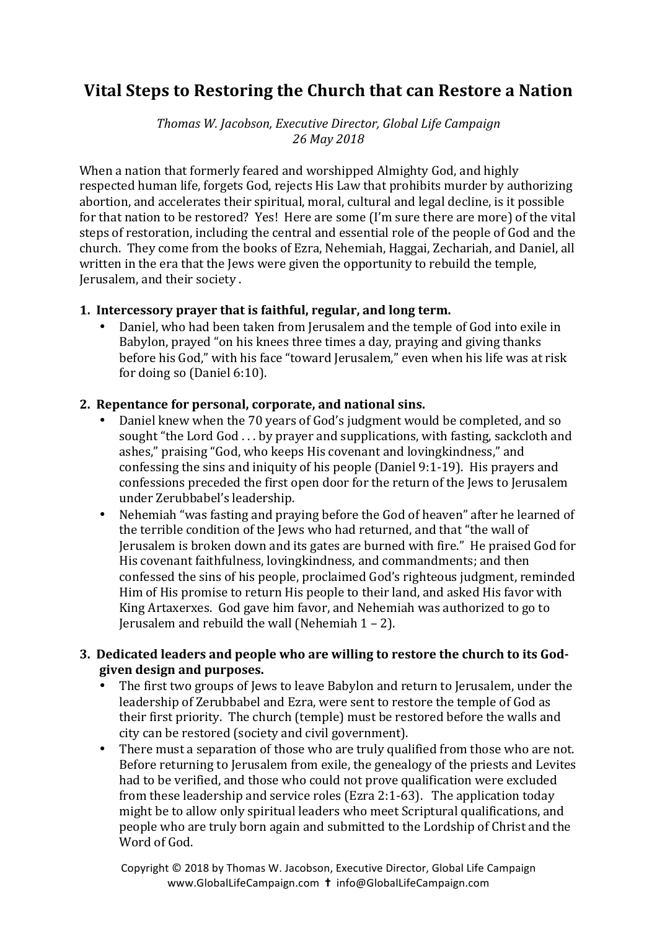# **Vital Steps to Restoring the Church that can Restore a Nation**

*Thomas W. Jacobson, Executive Director, Global Life Campaign 26 May 2018*

When a nation that formerly feared and worshipped Almighty God, and highly respected human life, forgets God, rejects His Law that prohibits murder by authorizing abortion, and accelerates their spiritual, moral, cultural and legal decline, is it possible for that nation to be restored? Yes! Here are some (I'm sure there are more) of the vital steps of restoration, including the central and essential role of the people of God and the church. They come from the books of Ezra, Nehemiah, Haggai, Zechariah, and Daniel, all written in the era that the Jews were given the opportunity to rebuild the temple, Jerusalem, and their society.

### **1.** Intercessory prayer that is faithful, regular, and long term.

Daniel, who had been taken from Jerusalem and the temple of God into exile in Babylon, prayed "on his knees three times a day, praying and giving thanks before his God," with his face "toward Jerusalem," even when his life was at risk for doing so  $(Daniel 6:10)$ .

# 2. Repentance for personal, corporate, and national sins.

- Daniel knew when the 70 years of God's judgment would be completed, and so sought "the Lord God  $\dots$  by prayer and supplications, with fasting, sackcloth and ashes," praising "God, who keeps His covenant and loving kindness," and confessing the sins and iniquity of his people (Daniel 9:1-19). His prayers and confessions preceded the first open door for the return of the lews to Jerusalem under Zerubbabel's leadership.
- Nehemiah "was fasting and praving before the God of heaven" after he learned of the terrible condition of the Jews who had returned, and that "the wall of Jerusalem is broken down and its gates are burned with fire." He praised God for His covenant faithfulness, lovingkindness, and commandments; and then confessed the sins of his people, proclaimed God's righteous judgment, reminded Him of His promise to return His people to their land, and asked His favor with King Artaxerxes. God gave him favor, and Nehemiah was authorized to go to Jerusalem and rebuild the wall (Nehemiah  $1 - 2$ ).

# **3.** Dedicated leaders and people who are willing to restore the church to its Godgiven design and purposes.

- The first two groups of Jews to leave Babylon and return to Jerusalem, under the leadership of Zerubbabel and Ezra, were sent to restore the temple of God as their first priority. The church (temple) must be restored before the walls and city can be restored (society and civil government).
- There must a separation of those who are truly qualified from those who are not. Before returning to Jerusalem from exile, the genealogy of the priests and Levites had to be verified, and those who could not prove qualification were excluded from these leadership and service roles (Ezra 2:1-63). The application today might be to allow only spiritual leaders who meet Scriptural qualifications, and people who are truly born again and submitted to the Lordship of Christ and the Word of God.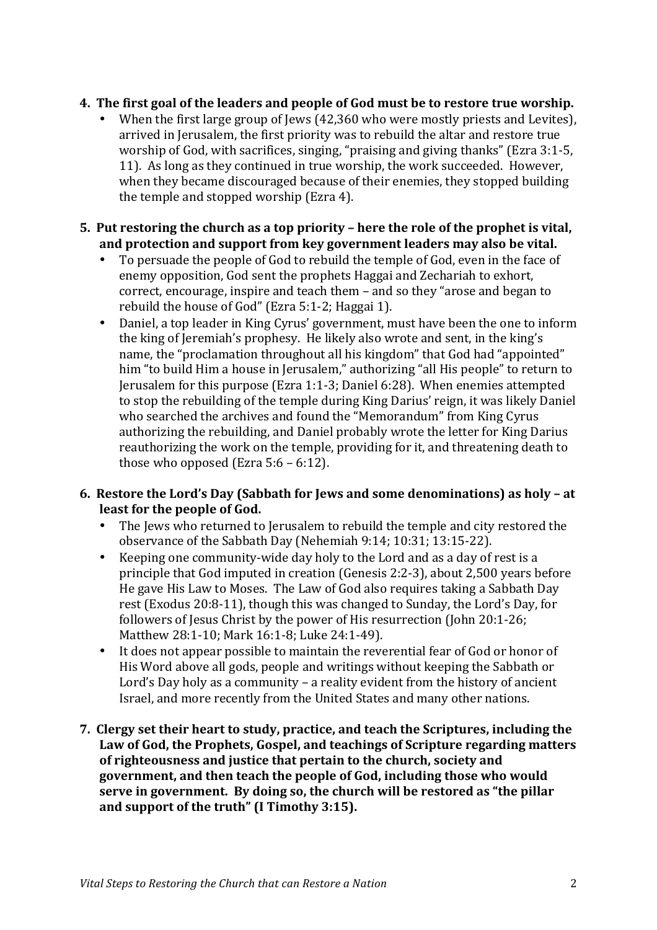### **4.** The first goal of the leaders and people of God must be to restore true worship.

When the first large group of Jews (42,360 who were mostly priests and Levites). arrived in Jerusalem, the first priority was to rebuild the altar and restore true worship of God, with sacrifices, singing, "praising and giving thanks" (Ezra  $3:1-5$ , 11). As long as they continued in true worship, the work succeeded. However, when they became discouraged because of their enemies, they stopped building the temple and stopped worship  $(Exra 4)$ .

#### **5.** Put restoring the church as a top priority – here the role of the prophet is vital, and protection and support from key government leaders may also be vital.

- To persuade the people of God to rebuild the temple of God, even in the face of enemy opposition, God sent the prophets Haggai and Zechariah to exhort, correct, encourage, inspire and teach them – and so they "arose and began to rebuild the house of God" (Ezra  $5:1-2$ ; Haggai 1).
- Daniel, a top leader in King Cyrus' government, must have been the one to inform the king of Jeremiah's prophesy. He likely also wrote and sent, in the king's name, the "proclamation throughout all his kingdom" that God had "appointed" him "to build Him a house in Jerusalem," authorizing "all His people" to return to Jerusalem for this purpose (Ezra 1:1-3; Daniel 6:28). When enemies attempted to stop the rebuilding of the temple during King Darius' reign, it was likely Daniel who searched the archives and found the "Memorandum" from King Cyrus authorizing the rebuilding, and Daniel probably wrote the letter for King Darius reauthorizing the work on the temple, providing for it, and threatening death to those who opposed (Ezra  $5:6 - 6:12$ ).

### **6.** Restore the Lord's Day (Sabbath for Jews and some denominations) as holy – at least for the people of God.

- The Jews who returned to Jerusalem to rebuild the temple and city restored the observance of the Sabbath Day (Nehemiah 9:14; 10:31; 13:15-22).
- Keeping one community-wide day holy to the Lord and as a day of rest is a principle that God imputed in creation (Genesis 2:2-3), about 2,500 years before He gave His Law to Moses. The Law of God also requires taking a Sabbath Day rest (Exodus 20:8-11), though this was changed to Sunday, the Lord's Day, for followers of Jesus Christ by the power of His resurrection (John 20:1-26; Matthew 28:1-10; Mark 16:1-8; Luke 24:1-49).
- It does not appear possible to maintain the reverential fear of God or honor of His Word above all gods, people and writings without keeping the Sabbath or Lord's Day holy as a community  $-$  a reality evident from the history of ancient Israel, and more recently from the United States and many other nations.
- **7. Clergy set their heart to study, practice, and teach the Scriptures, including the** Law of God, the Prophets, Gospel, and teachings of Scripture regarding matters of righteousness and justice that pertain to the church, society and government, and then teach the people of God, including those who would **serve in government.** By doing so, the church will be restored as "the pillar and support of the truth" (I Timothy 3:15).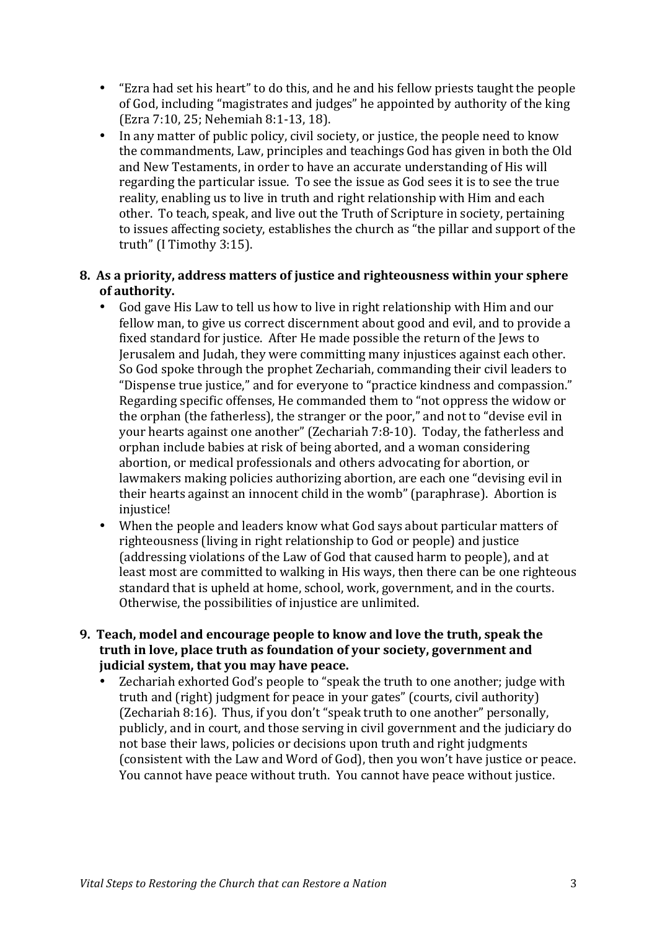- "Ezra had set his heart" to do this, and he and his fellow priests taught the people of God, including "magistrates and judges" he appointed by authority of the king (Ezra 7:10, 25; Nehemiah 8:1-13, 18).
- In any matter of public policy, civil society, or justice, the people need to know the commandments, Law, principles and teachings God has given in both the Old and New Testaments, in order to have an accurate understanding of His will regarding the particular issue. To see the issue as God sees it is to see the true reality, enabling us to live in truth and right relationship with Him and each other. To teach, speak, and live out the Truth of Scripture in society, pertaining to issues affecting society, establishes the church as "the pillar and support of the truth" (I Timothy 3:15).

#### **8. As a priority, address matters of justice and righteousness within your sphere**  of authority.

- God gave His Law to tell us how to live in right relationship with Him and our fellow man, to give us correct discernment about good and evil, and to provide a fixed standard for justice. After He made possible the return of the Jews to Jerusalem and Judah, they were committing many injustices against each other. So God spoke through the prophet Zechariah, commanding their civil leaders to "Dispense true justice," and for everyone to "practice kindness and compassion." Regarding specific offenses, He commanded them to "not oppress the widow or the orphan (the fatherless), the stranger or the poor," and not to "devise evil in your hearts against one another" (Zechariah 7:8-10). Today, the fatherless and orphan include babies at risk of being aborted, and a woman considering abortion, or medical professionals and others advocating for abortion, or lawmakers making policies authorizing abortion, are each one "devising evil in their hearts against an innocent child in the womb" (paraphrase). Abortion is injustice!
- When the people and leaders know what God says about particular matters of righteousness (living in right relationship to God or people) and justice (addressing violations of the Law of God that caused harm to people), and at least most are committed to walking in His ways, then there can be one righteous standard that is upheld at home, school, work, government, and in the courts. Otherwise, the possibilities of injustice are unlimited.
- **9. Teach, model and encourage people to know and love the truth, speak the** truth in love, place truth as foundation of your society, government and **judicial system, that you may have peace.** 
	- Zechariah exhorted God's people to "speak the truth to one another; judge with truth and (right) iudgment for peace in your gates" (courts, civil authority) (Zechariah 8:16). Thus, if you don't "speak truth to one another" personally, publicly, and in court, and those serving in civil government and the judiciary do not base their laws, policies or decisions upon truth and right judgments (consistent with the Law and Word of God), then you won't have justice or peace. You cannot have peace without truth. You cannot have peace without justice.